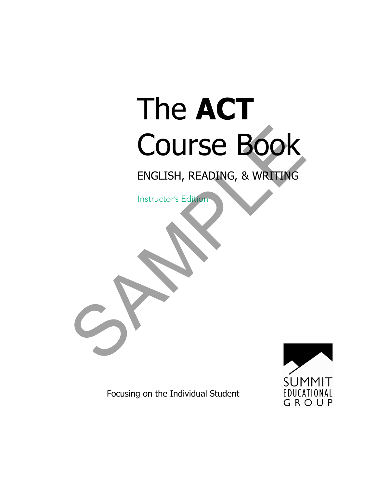# The **ACT** Course Book COURSE BOOK<br>ENGLISH, READING, & WRITING

ENGLISH, READING, & WRITING

Instructor's Edition



Focusing on the Individual Student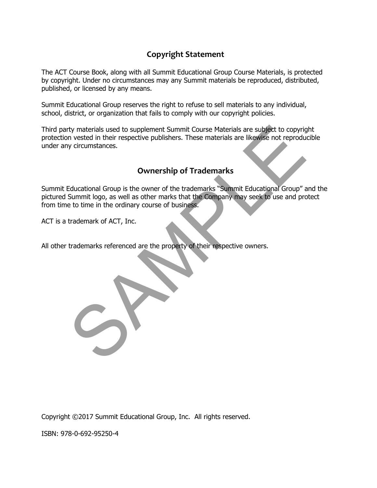## **Copyright Statement**

The ACT Course Book, along with all Summit Educational Group Course Materials, is protected by copyright. Under no circumstances may any Summit materials be reproduced, distributed, published, or licensed by any means.

Summit Educational Group reserves the right to refuse to sell materials to any individual, school, district, or organization that fails to comply with our copyright policies.

Third party materials used to supplement Summit Course Materials are subject to copyright protection vested in their respective publishers. These materials are likewise not reproducible under any circumstances.

## **Ownership of Trademarks**

Summit Educational Group is the owner of the trademarks "Summit Educational Group" and the pictured Summit logo, as well as other marks that the Company may seek to use and protect from time to time in the ordinary course of business. The method is used to supplement Summit Course Materials are subject to copyright with their respective publishers. These materials are likewise not reproduity circumstances.<br>
Summit logo, as well as other marks that the C

ACT is a trademark of ACT, Inc.

All other trademarks referenced are the property of their respective owners.

Copyright ©2017 Summit Educational Group, Inc. All rights reserved.

ISBN: 978-0-692-95250-4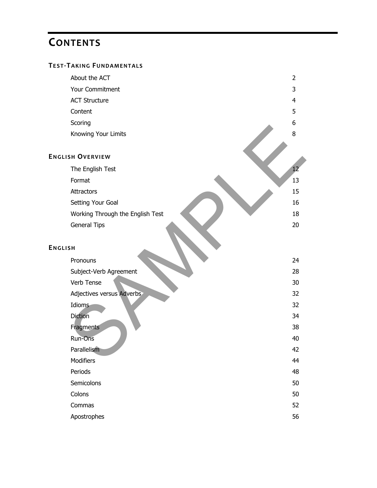# **CONTENTS**

#### **TEST-TAKING FUNDAMENTALS**

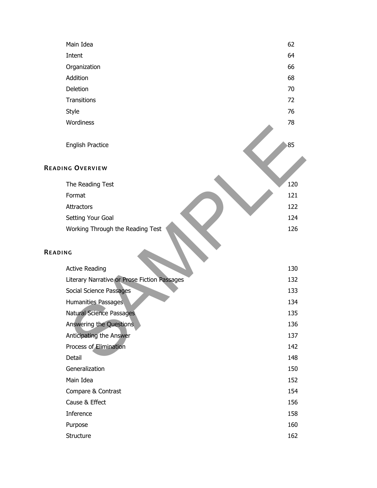|         | Main Idea                                    | 62  |
|---------|----------------------------------------------|-----|
|         | Intent                                       | 64  |
|         | Organization                                 | 66  |
|         | Addition                                     | 68  |
|         | Deletion                                     | 70  |
|         | Transitions                                  | 72  |
|         | Style                                        | 76  |
|         | Wordiness                                    | 78  |
|         | English Practice                             | 85  |
|         | <b>READING OVERVIEW</b>                      |     |
|         | The Reading Test                             | 120 |
|         | Format                                       | 121 |
|         | <b>Attractors</b>                            | 122 |
|         | Setting Your Goal                            | 124 |
|         | Working Through the Reading Test             | 126 |
| READING |                                              |     |
|         | <b>Active Reading</b>                        | 130 |
|         | Literary Narrative or Prose Fiction Passages | 132 |
|         | Social Science Passages                      | 133 |
|         | Humanities Passages                          | 134 |
|         | Natural Science Passages                     | 135 |
|         | Answering the Questions                      | 136 |
|         | Anticipating the Answer                      | 137 |
|         | Process of Elimination                       | 142 |
|         | Detail                                       | 148 |
|         | Generalization                               | 150 |
|         | Main Idea                                    | 152 |
|         | Compare & Contrast                           | 154 |
|         | Cause & Effect                               | 156 |
|         | Inference                                    | 158 |
|         | Purpose                                      | 160 |
|         | Structure                                    | 162 |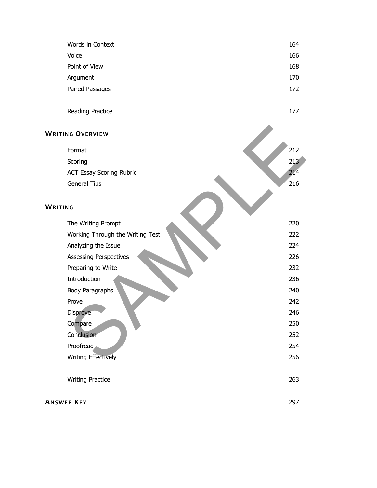| Words in Context                 | 164 |  |
|----------------------------------|-----|--|
| Voice                            | 166 |  |
| Point of View                    | 168 |  |
| Argument                         | 170 |  |
| Paired Passages                  | 172 |  |
| Reading Practice                 | 177 |  |
| <b>WRITING OVERVIEW</b>          |     |  |
| Format                           | 212 |  |
| Scoring                          | 213 |  |
| <b>ACT Essay Scoring Rubric</b>  | 214 |  |
| <b>General Tips</b>              | 216 |  |
| WRITING                          |     |  |
| The Writing Prompt               | 220 |  |
| Working Through the Writing Test | 222 |  |
| Analyzing the Issue              | 224 |  |
| <b>Assessing Perspectives</b>    | 226 |  |
| Preparing to Write               | 232 |  |
| Introduction                     | 236 |  |
| <b>Body Paragraphs</b>           | 240 |  |
| Prove                            | 242 |  |
| Disprove                         | 246 |  |
| Compare                          | 250 |  |
| Conclusion <sup>-</sup>          | 252 |  |
| Proofread                        | 254 |  |
| <b>Writing Effectively</b>       | 256 |  |
| <b>Writing Practice</b>          | 263 |  |
| <b>ANSWER KEY</b>                |     |  |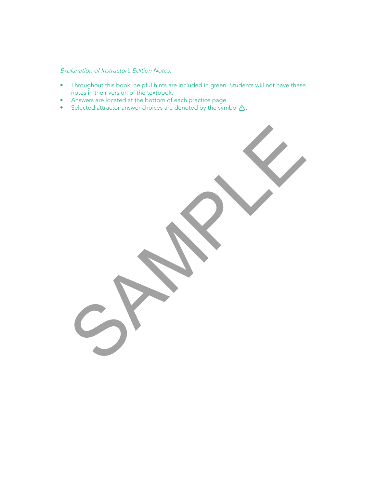#### Explanation of Instructor's Edition Notes:

- Throughout this book, helpful hints are included in green. Students will not have these notes in their version of the textbook.
- Answers are located at the bottom of each practice page.
- Selected attractor answer choices are denoted by the symbol  $\triangle$ .

SPAMPLE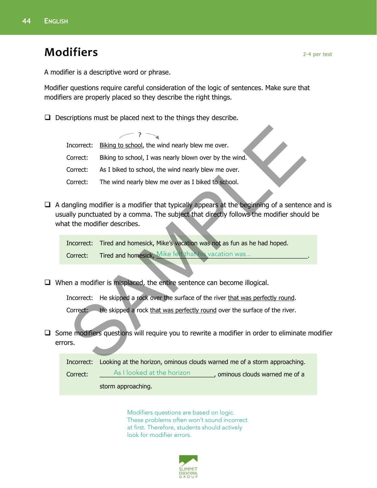## **Modifiers** 2-4 per test

A modifier is a descriptive word or phrase.

Modifier questions require careful consideration of the logic of sentences. Make sure that modifiers are properly placed so they describe the right things.

 $\Box$  Descriptions must be placed next to the things they describe.

Incorrect: Biking to school, the wind nearly blew me over. Correct: Biking to school, I was nearly blown over by the wind. Correct: As I biked to school, the wind nearly blew me over. Correct: The wind nearly blew me over as I biked to school.  $-$  ?  $\searrow$ Theoret: Biking to school, the wind nearly blew me over.<br>Correct: Biking to school, I was nearly blew me over.<br>Correct: As I biked to school, the wind nearly blew me over.<br>Correct: As I biked to school, the wind nearly ble

 $\Box$  A dangling modifier is a modifier that typically appears at the beginning of a sentence and is usually punctuated by a comma. The subject that directly follows the modifier should be what the modifier describes.

Incorrect: Tired and homesick, Mike's vacation was not as fun as he had hoped. Correct: Tired and homesick, Mike felt that his vacation was... The manner of the set of the correct of the correct of the correct of the correct of the correct of the correct of the correct of the correct of the correct o

 $\Box$  When a modifier is misplaced, the entire sentence can become illogical.

Incorrect: He skipped a rock over the surface of the river that was perfectly round.

Correct: He skipped a rock that was perfectly round over the surface of the river.

 $\Box$  Some modifiers questions will require you to rewrite a modifier in order to eliminate modifier errors.

|          |                            | Incorrect: Looking at the horizon, ominous clouds warned me of a storm approaching. |
|----------|----------------------------|-------------------------------------------------------------------------------------|
| Correct: | As I looked at the horizon | , ominous clouds warned me of a                                                     |
|          | storm approaching.         |                                                                                     |

Modifiers questions are based on logic. These problems often won't sound incorrect at first. Therefore, students should actively look for modifier errors.

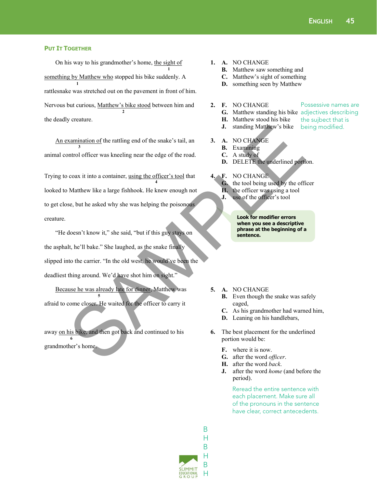Possessive names are

the sujbect that is being modified.

#### **PUT IT TOGETHER**

On his way to his grandmother's home, the sight of something by Matthew who stopped his bike suddenly. A rattlesnake was stretched out on the pavement in front of him. Nervous but curious, Matthew's bike stood between him and the deadly creature. **1 1 2** 

An examination of the rattling end of the snake's tail, an animal control officer was kneeling near the edge of the road. **3** 

Trying to coax it into a container, using the officer's tool that looked to Matthew like a large fishhook. He knew enough not to get close, but he asked why she was helping the poisonous creature. **4**  3. Standing Matthew's bike<br>
SAMPLE TRIME TRIME TRIME TRIME TRIME TRIME TRIME TRIME TRIME TRIME TRIME TRIME TRIME TRIME TRIME TRIME TRIME TRIME TRIME TRIME TRIME TRIME TRIME TRIME TRIME TRIME TRIME TRIME TRIME TRIME TRIME T

"He doesn't know it," she said, "but if this guy stays on the asphalt, he'll bake." She laughed, as the snake finally slipped into the carrier. "In the old west, he would've been the deadliest thing around. We'd have shot him on sight."

Because he was already late for dinner, Matthew was afraid to come closer. He waited for the officer to carry it **5** 

away on his bike, and then got back and continued to his grandmother's home. **6** 

- **1. A.** NO CHANGE
	- **B.** Matthew saw something and
	- **C.** Matthew's sight of something
	- **D.** something seen by Matthew
- **2. F.** NO CHANGE
	- **G.** Matthew standing his bike adjectives describing
	- **H.** Matthew stood his bike
	- **J.** standing Matthew's bike
- **3. A.** NO CHANGE
	- **B.** Examining
	- **C.** A study of
	- **D.** DELETE the underlined portion.
- **4. F.** NO CHANGE
	- **G.** the tool being used by the officer
	- **H.** the officer was using a tool
	- **J.** use of the officer's tool

**Look for modifier errors when you see a descriptive phrase at the beginning of a sentence.**

- **5. A.** NO CHANGE
	- **B.** Even though the snake was safely caged,
	- **C.** As his grandmother had warned him,
	- **D.** Leaning on his handlebars,
- **6.** The best placement for the underlined portion would be:
	- **F.** where it is now.
	- **G.** after the word *officer*.
	- **H.** after the word *back*.
	- **J.** after the word *home* (and before the period).

Reread the entire sentence with each placement. Make sure all of the pronouns in the sentence have clear, correct antecedents.

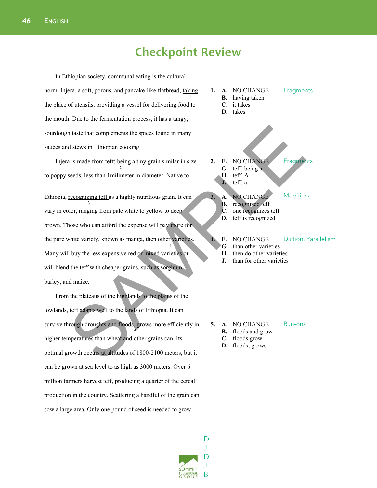## **Checkpoint Review**

In Ethiopian society, communal eating is the cultural norm. Injera, a soft, porous, and pancake-like flatbread, taking the place of utensils, providing a vessel for delivering food to the mouth. Due to the fermentation process, it has a tangy, sourdough taste that complements the spices found in many sauces and stews in Ethiopian cooking. **1**

Injera is made from teff; being a tiny grain similar in size to poppy seeds, less than 1milimeter in diameter. Native to **2** 

Ethiopia, recognizing teff as a highly nutritious grain. It can vary in color, ranging from pale white to yellow to deep brown. Those who can afford the expense will pay more for the pure white variety, known as manga, then other varieties. Many will buy the less expensive red or mixed varieties or will blend the teff with cheaper grains, such as sorghum, barley, and maize. **3 4** The state that complements the spices found in many<br>
a is made from <u>tefficions</u> a tiny grain similar in size<br>
seeds, less than I milimeter in diameter. Native to<br>
seeds, less than I milimeter in diameter. Native to<br> **C.**

From the plateaus of the highlands to the plains of the lowlands, teff adapts well to the lands of Ethiopia. It can survive through droughts and floods, grows more efficiently in higher temperatures than wheat and other grains can. Its optimal growth occurs at altitudes of 1800-2100 meters, but it can be grown at sea level to as high as 3000 meters. Over 6 million farmers harvest teff, producing a quarter of the cereal production in the country. Scattering a handful of the grain can sow a large area. Only one pound of seed is needed to grow **5** 



- **1. A.** NO CHANGE **B.** having taken
	- **Fragments**
	- **C.** it takes
	- **D.** takes
- **2. F.** NO CHANGE **G.** teff, being a **H.** teff. A **Fragments** 
	- **J.** teff, a
- **3. A.** NO CHANGE
	- **B.** recognized teff
	- **C.** one recognizes teff
	- **D.** teff is recognized
	- **4. F.** NO CHANGE Diction, Parallelism

Modifiers

Run-ons

- **G.** than other varieties
- **H.** then do other varieties
- **J.** than for other varieties

- **5. A.** NO CHANGE
	- **B.** floods and grow
	- **C.** floods grow
	- **D.** floods; grows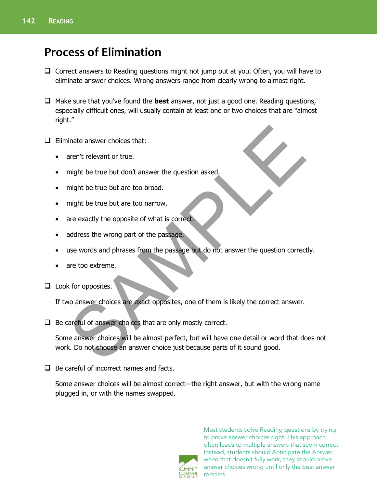# **Process of Elimination**

- $\Box$  Correct answers to Reading questions might not jump out at you. Often, you will have to eliminate answer choices. Wrong answers range from clearly wrong to almost right.
- □ Make sure that you've found the **best** answer, not just a good one. Reading questions, especially difficult ones, will usually contain at least one or two choices that are "almost right."
- $\Box$  Eliminate answer choices that:
	- aren't relevant or true.
	- might be true but don't answer the question asked.
	- might be true but are too broad.
	- might be true but are too narrow.
	- are exactly the opposite of what is correct.
	- address the wrong part of the passage.
	- use words and phrases from the passage but do not answer the question correctly.
	- are too extreme.
- $\Box$  Look for opposites.

If two answer choices are exact opposites, one of them is likely the correct answer.

 $\Box$  Be careful of answer choices that are only mostly correct.

Some answer choices will be almost perfect, but will have one detail or word that does not work. Do not choose an answer choice just because parts of it sound good. inate answer choices that:<br>
aren't relevant or true.<br>
Example the true but are too broad.<br>
Example the true but are too broad.<br>
Example the true but are too broad.<br>
Andress the wrong part of the passage.<br>
Sample and the pa

 $\Box$  Be careful of incorrect names and facts.

Some answer choices will be almost correct—the right answer, but with the wrong name plugged in, or with the names swapped.



Most students solve Reading questions by trying to prove answer choices right. This approach often leads to multiple answers that seem correct. Instead, students should Anticipate the Answer; when that doesn't fully work, they should prove answer choices wrong until only the best answer remains.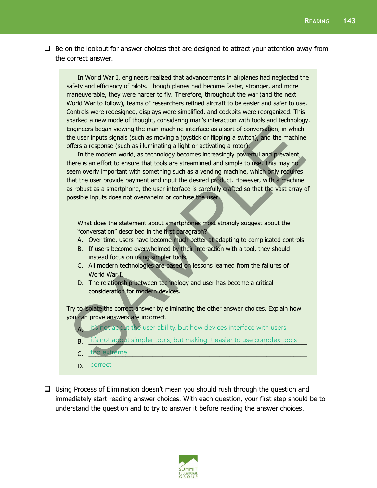$\Box$  Be on the lookout for answer choices that are designed to attract your attention away from the correct answer.

 In World War I, engineers realized that advancements in airplanes had neglected the safety and efficiency of pilots. Though planes had become faster, stronger, and more maneuverable, they were harder to fly. Therefore, throughout the war (and the next World War to follow), teams of researchers refined aircraft to be easier and safer to use. Controls were redesigned, displays were simplified, and cockpits were reorganized. This sparked a new mode of thought, considering man's interaction with tools and technology. Engineers began viewing the man-machine interface as a sort of conversation, in which the user inputs signals (such as moving a joystick or flipping a switch), and the machine offers a response (such as illuminating a light or activating a rotor).

In the modern world, as technology becomes increasingly powerful and prevalent, there is an effort to ensure that tools are streamlined and simple to use. This may not seem overly important with something such as a vending machine, which only requires that the user provide payment and input the desired product. However, with a machine as robust as a smartphone, the user interface is carefully crafted so that the vast array of possible inputs does not overwhelm or confuse the user. Engineers began viewing the man-machine interface as a sort of conversation, in which<br>the user inputs signals (such as imoving a joystick or flipping a switch), and the machine<br>offers a response (such as illuminating a lig

 What does the statement about smartphones most strongly suggest about the "conversation" described in the first paragraph?

- A. Over time, users have become much better at adapting to complicated controls.
- B. If users become overwhelmed by their interaction with a tool, they should instead focus on using simpler tools.
- C. All modern technologies are based on lessons learned from the failures of World War I.
- D. The relationship between technology and user has become a critical consideration for modern devices.

Try to isolate the correct answer by eliminating the other answer choices. Explain how you can prove answers are incorrect.

- A. it's not about the user ability, but how devices interface with users
- **B.** it's not about simpler tools, but making it easier to use complex tools
- C. <del>100 extreme</del> **Example 2014 C. 100 extreme Example 2014 C. 100 extreme Example 2014 C. 100 extreme Example 2014 C. 100 extreme Example 2014 C. 100 extreme Example 2014 C. 100 extreme 40** too extreme
- D. <u>Correct</u> 2008 and 2008 and 2008 and 2008 and 2008 and 2008 and 2008 and 2008 and 2008 and 2008 and 2008 and 2008 and 2008 and 2008 and 2008 and 2008 and 2008 and 2008 and 2008 and 2008 and 2008 and 2008 and 2008 and 20 correct
- $\Box$  Using Process of Elimination doesn't mean you should rush through the question and immediately start reading answer choices. With each question, your first step should be to understand the question and to try to answer it before reading the answer choices.

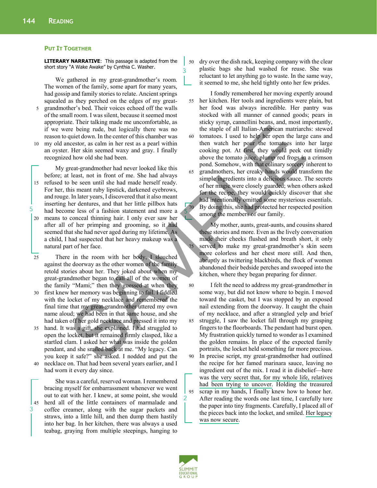#### **PUT IT TOGETHER**

**LITERARY NARRATIVE**: This passage is adapted from the short story "A Wake Awake" by Cynthia C. Washer.

We gathered in my great-grandmother's room. The women of the family, some apart for many years, had gossip and family stories to relate. Ancient springs squealed as they perched on the edges of my great-

- 5 grandmother's bed. Their voices echoed off the walls of the small room. I was silent, because it seemed most appropriate. Their talking made me uncomfortable, as if we were being rude, but logically there was no reason to quiet down. In the center of this chamber was
- 10 my old ancestor, as calm in her rest as a pearl within an oyster. Her skin seemed waxy and gray. I finally recognized how old she had been.

My great-grandmother had never looked like this before; at least, not in front of me. She had always 15 refused to be seen until she had made herself ready. For her, this meant ruby lipstick, darkened eyebrows, and rouge. In later years, I discovered that it also meant inserting her dentures, and that her little pillbox hats had become less of a fashion statement and more a 20 means to conceal thinning hair. I only ever saw her after all of her primping and grooming, so it had seemed that she had never aged during my lifetime. As a child, I had suspected that her heavy makeup was a natural part of her face.

25 There in the room with her body, I slouched against the doorway as the other women of the family retold stories about her. They joked about when my great-grandmother began to call all of the women of the family "Mami;" then they guessed at when they

- 30 first knew her memory was beginning to fail. I fiddled with the locket of my necklace and remembered the final time that my great-grandmother uttered my own name aloud; we had been in that same house, and she had taken off her gold necklace and pressed it into my
- hand. It was a gift, she explained. I had struggled to open the locket, but it remained firmly clasped, like a startled clam. I asked her what was inside the golden pendant, and she smiled back at me. "My legacy. Can you keep it safe?" she asked. I nodded and put the 40 necklace on. That had been several years earlier, and I
- had worn it every day since.

3

5

She was a careful, reserved woman. I remembered bracing myself for embarrassment whenever we went out to eat with her. I knew, at some point, she would 45 herd all of the little containers of marmalade and coffee creamer, along with the sugar packets and straws, into a little hill, and then dump them hastily into her bag. In her kitchen, there was always a used teabag, graying from multiple steepings, hanging to

50 dry over the dish rack, keeping company with the clear plastic bags she had washed for reuse. She was reluctant to let anything go to waste. In the same way, it seemed to me, she held tightly onto her few prides.

I fondly remembered her moving expertly around 55 her kitchen. Her tools and ingredients were plain, but her food was always incredible. Her pantry was stocked with all manner of canned goods; pears in sticky syrup, cannellini beans, and, most importantly, the staple of all Italian-American matriarchs: stewed 60 tomatoes. I used to help her open the large cans and then watch her pour the tomatoes into her large cooking pot. At first, they would peek out timidly above the tomato juice, plump red frogs in a crimson pond. Somehow, with that culinary sorcery inherent to 65 grandmothers, her creaky hands would transform the simple ingredients into a delicious sauce. The secrets of her magic were closely guarded; when others asked for the recipe, they would quickly discover that she had intentionally omitted some mysterious essentials. 70 By doing this, she had protected her respected position among the members of our family. The best performant that the content of this change is the signal of all Italian-Amperican matriarce<br>
quied down in the center of this change is observed to all Italian-Amperican matriarce<br>
contents of this change of the

My mother, aunts, great-aunts, and cousins shared these stories and more. Even as the lively conversation made their cheeks flushed and breath short, it only 75 served to make my great-grandmother's skin seem more colorless and her chest more still. And then, abruptly as twittering blackbirds, the flock of women abandoned their bedside perches and swooped into the kitchen, where they began preparing for dinner.

80 I felt the need to address my great-grandmother in some way, but did not know where to begin. I moved toward the casket, but I was stopped by an exposed nail extending from the doorway. It caught the chain of my necklace, and after a strangled yelp and brief 85 struggle, I saw the locket fall through my grasping fingers to the floorboards. The pendant had burst open. My frustration quickly turned to wonder as I examined the golden remains. In place of the expected family portraits, the locket held something far more precious. 90 In precise script, my great-grandmother had outlined the recipe for her famed marinara sauce, leaving no ingredient out of the mix. I read it in disbelief—here was the very secret that, for my whole life, relatives had been trying to uncover. Holding the treasured 95 scrap in my hands, I finally knew how to honor her. After reading the words one last time, I carefully tore the paper into tiny fragments. Carefully, I placed all of the pieces back into the locket, and smiled. Her legacy was now secure.



2

5

3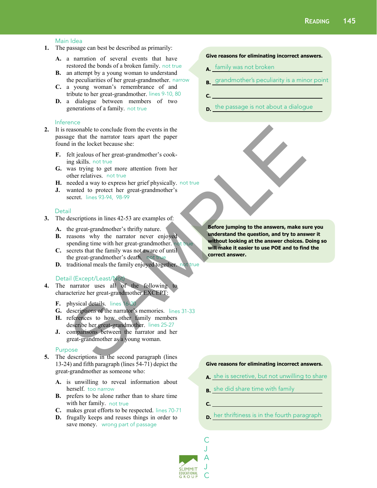#### Main Idea

- **1.** The passage can best be described as primarily:
	- **A.** a narration of several events that have restored the bonds of a broken family. not true
	- **B.** an attempt by a young woman to understand the peculiarities of her great-grandmother. narrow
	- **C.** a young woman's remembrance of and tribute to her great-grandmother. lines 9-10, 80
	- **D.** a dialogue between members of two generations of a family. not true

#### Inference

- **2.** It is reasonable to conclude from the events in the passage that the narrator tears apart the paper found in the locket because she:
	- **F.** felt jealous of her great-grandmother's cooking skills. not true
	- **G.** was trying to get more attention from her other relatives. not true
	- H. needed a way to express her grief physically. not true
	- **J.** wanted to protect her great-grandmother's secret. lines 93-94, 98-99

#### **Detail**

- **3.** The descriptions in lines 42-53 are examples of:
	- **A.** the great-grandmother's thrifty nature.
	- **B.** reasons why the narrator never enjoyed spending time with her great-grandmother. not true
	- **C.** secrets that the family was not aware of until the great-grandmother's death. not true
	- **D.** traditional meals the family enjoyed together. not true

#### Detail (Except/Least/Not)

- **4.** The narrator uses all of the following to characterize her great-grandmother EXCEPT:
	- **F.** physical details. lines 16-20
	- **G.** descriptions of the narrator's memories. lines 31-33
	- **H.** references to how other family members describe her great-grandmother. lines 25-27
	- **J.** comparisons between the narrator and her great-grandmother as a young woman.

#### Purpose

- **5.** The descriptions in the second paragraph (lines 13-24) and fifth paragraph (lines 54-71) depict the great-grandmother as someone who:
	- **A.** is unwilling to reveal information about herself. too narrow
	- **B.** prefers to be alone rather than to share time with her family. not true
	- **C.** makes great efforts to be respected. lines 70-71
	- **D.** frugally keeps and reuses things in order to save money. wrong part of passage

#### **Give reasons for eliminating incorrect answers.**

- **A.**  family was not broken
- **B.**  grandmother's peculiarity is a minor point
- **C.**
- **D.**  the passage is not about a dialogue

**Before jumping to the answers, make sure you understand the question, and try to answer it without looking at the answer choices. Doing so will make it easier to use POE and to find the correct answer.**  ensample the conclude from the events in the<br>
reasonable to conclude from the events agart the paper<br>
fit jealous of her great-grandmother's cook-<br>
may skills, not true<br>
was trying to get more attention from her<br>
media awy

#### **Give reasons for eliminating incorrect answers.**

- **A.**  she is secretive, but not unwilling to share
- **B.**  she did share time with family
- **C.**

C

**D.**  her thriftiness is in the fourth paragraph

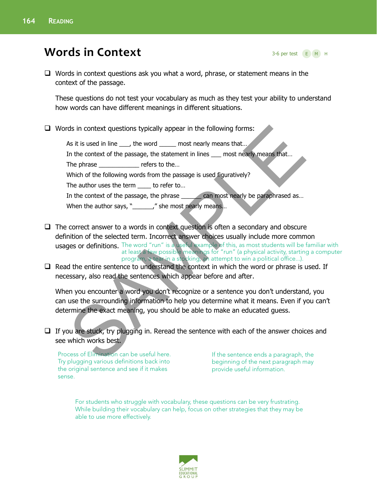# **Words in Context**

3-6 per test E M H

 $\Box$  Words in context questions ask you what a word, phrase, or statement means in the context of the passage.

These questions do not test your vocabulary as much as they test your ability to understand how words can have different meanings in different situations.

 $\Box$  Words in context questions typically appear in the following forms:

As it is used in line \_\_\_, the word \_\_\_\_\_ most nearly means that... In the context of the passage, the statement in lines \_\_\_ most nearly means that... The phrase \_\_\_\_\_\_\_\_\_\_\_\_\_\_ refers to the... Which of the following words from the passage is used figuratively? The author uses the term \_\_\_\_ to refer to... In the context of the passage, the phrase \_\_\_\_\_\_ can most nearly be paraphrased as... When the author says, "\_\_\_\_\_\_\_," she most nearly means... SAMPLE

- $\Box$  The correct answer to a words in context question is often a secondary and obscure definition of the selected term. Incorrect answer choices usually include more common **usages or definitions.** The word "run" is a useful example of this, as most students will be familiar with at least a few possible meanings for "run" (a physical activity, starting a computer program, a tear in a stocking, an attempt to win a political office...).
- $\Box$  Read the entire sentence to understand the context in which the word or phrase is used. If necessary, also read the sentences which appear before and after.

When you encounter a word you don't recognize or a sentence you don't understand, you can use the surrounding information to help you determine what it means. Even if you can't determine the exact meaning, you should be able to make an educated guess.

### $\Box$  If you are stuck, try plugging in. Reread the sentence with each of the answer choices and see which works best.

Process of Elimination can be useful here. Try plugging various definitions back into the original sentence and see if it makes sense.

If the sentence ends a paragraph, the beginning of the next paragraph may provide useful information.

For students who struggle with vocabulary, these questions can be very frustrating. While building their vocabulary can help, focus on other strategies that they may be able to use more effectively.

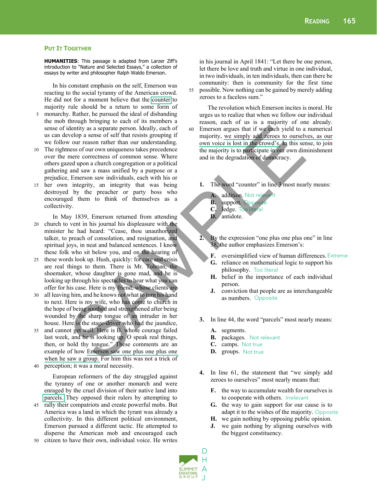#### **PUT IT TOGETHER**

**HUMANITIES**: This passage is adapted from Larzer Ziff's introduction to "Nature and Selected Essays," a collection of essays by writer and philosopher Ralph Waldo Emerson.

 In his constant emphasis on the self, Emerson was reacting to the social tyranny of the American crowd. He did not for a moment believe that the counter to majority rule should be a return to some form of

- 5 monarchy. Rather, he pursued the ideal of disbanding the mob through bringing to each of its members a sense of identity as a separate person. Ideally, each of us can develop a sense of self that resists grouping if we follow our reason rather than our understanding.
- 10 The rightness of our own uniqueness takes precedence over the mere correctness of common sense. Where others gazed upon a church congregation or a political gathering and saw a mass unified by a purpose or a prejudice, Emerson saw individuals, each with his or
- 15 her own integrity, an integrity that was being destroyed by the preacher or party boss who encouraged them to think of themselves as a collectivity.

 In May 1839, Emerson returned from attending 20 church to vent in his journal his displeasure with the minister he had heard: "Cease, thou unauthorized talker, to preach of consolation, and resignation, and spiritual joys, in neat and balanced sentences. I know these folk who sit below you, and on the hearing of dentity as a separate person. Ideally, each of<br>
welve and yield to a<br>
ve our reason of self that resists grouping if<br>
we our reason after than our understanding.<br>
the majority, we simply add resonance<br>
means of our reason

- 25 these words look up. Hush, quickly: for care and crisis are real things to them. There is Mr. Tolman, the shoemaker, whose daughter is gone mad, and he is looking up through his spectacles to hear what you can offer for his case. Here is my friend, whose clients are
- 30 all leaving him, and he knows not what to turn his hand to next. Here is my wife, who has come to church in the hope of being soothed and strengthened after being wounded by the sharp tongue of an intruder in her house. Here is the stage-driver who had the jaundice,
- 35 and cannot get well. Here is B. whose courage failed last week, and he is looking up. O speak real things, then, or hold thy tongue." These comments are an example of how Emerson saw one plus one plus one when he saw a group. For him this was not a trick of

perception; it was a moral necessity.

 European reformers of the day struggled against the tyranny of one or another monarch and were enraged by the cruel division of their native land into parcels. They opposed their rulers by attempting to

- 45 rally their compatriots and create powerful mobs. But America was a land in which the tyrant was already a collectivity. In this different political environment, Emerson pursued a different tactic. He attempted to disperse the American mob and encouraged each citizen to have their own, individual voice. He writes
- 

in his journal in April 1841: "Let there be one person, let there be love and truth and virtue in one individual, in two individuals, in ten individuals, then can there be community: then is community for the first time 55 possible. Now nothing can be gained by merely adding zeroes to a faceless sum."

 The revolution which Emerson incites is moral. He urges us to realize that when we follow our individual reason, each of us is a majority of one already. 60 Emerson argues that if we each yield to a numerical majority, we simply add zeroes to ourselves, as our own voice is lost in the crowd's. In this sense, to join the majority is to participate in our own diminishment and in the degradation of democracy.

- **1.** The word "counter" in line 3 most nearly means:
	- **A.** addition. Not relevant
	- **B.** support. Opposite
	- **C.** ledge. Too literal
	- **D.** antidote.
- **2.** By the expression "one plus one plus one" in line 38, the author emphasizes Emerson's:
	- **F.** oversimplified view of human differences. Extreme
	- **G.** reliance on mathematical logic to support his philosophy. Too literal
	- **H.** belief in the importance of each individual person.
	- **J.** conviction that people are as interchangeable as numbers. Opposite
- **3.** In line 44, the word "parcels" most nearly means:
	- **A.** segments.
	- **B.** packages. Not relevant
	- **C.** camps. Not true
	- **D.** groups. Not true
- **4.** In line 61, the statement that "we simply add zeroes to ourselves" most nearly means that:
	- **F.** the way to accumulate wealth for ourselves is to cooperate with others. Irrelevant
	- **G.** the way to gain support for our cause is to adapt it to the wishes of the majority. Opposite
	- **H.** we gain nothing by opposing public opinion.
	- **J.** we gain nothing by aligning ourselves with the biggest constituency.

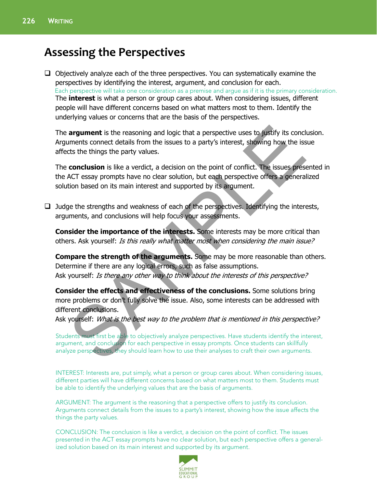## **Assessing the Perspectives**

 $\Box$  Objectively analyze each of the three perspectives. You can systematically examine the perspectives by identifying the interest, argument, and conclusion for each. The **interest** is what a person or group cares about. When considering issues, different people will have different concerns based on what matters most to them. Identify the underlying values or concerns that are the basis of the perspectives. Each perspective will take one consideration as a premise and argue as if it is the primary consideration.

The **argument** is the reasoning and logic that a perspective uses to justify its conclusion. Arguments connect details from the issues to a party's interest, showing how the issue affects the things the party values.

The **conclusion** is like a verdict, a decision on the point of conflict. The issues presented in the ACT essay prompts have no clear solution, but each perspective offers a generalized solution based on its main interest and supported by its argument. **argument** is the reasoning and logic that a perspective uses to justify its cond<br>uments connect details from the issues to a party's interest, showing how the iss<br>cts the things the party values.<br>**conclusion** is like a ve

 $\Box$  Judge the strengths and weakness of each of the perspectives. Identifying the interests, arguments, and conclusions will help focus your assessments.

**Consider the importance of the interests.** Some interests may be more critical than others. Ask yourself: Is this really what matter most when considering the main issue?

**Compare the strength of the arguments.** Some may be more reasonable than others. Determine if there are any logical errors, such as false assumptions. Ask yourself: Is there any other way to think about the interests of this perspective?

**Consider the effects and effectiveness of the conclusions.** Some solutions bring more problems or don't fully solve the issue. Also, some interests can be addressed with different conclusions.

Ask yourself: What is the best way to the problem that is mentioned in this perspective?

Students must first be able to objectively analyze perspectives. Have students identify the interest, argument, and conclusion for each perspective in essay prompts. Once students can skillfully analyze perspectives, they should learn how to use their analyses to craft their own arguments.

INTEREST: Interests are, put simply, what a person or group cares about. When considering issues, different parties will have different concerns based on what matters most to them. Students must be able to identify the underlying values that are the basis of arguments.

ARGUMENT: The argument is the reasoning that a perspective offers to justify its conclusion. Arguments connect details from the issues to a party's interest, showing how the issue affects the things the party values.

CONCLUSION: The conclusion is like a verdict, a decision on the point of conflict. The issues presented in the ACT essay prompts have no clear solution, but each perspective offers a generalized solution based on its main interest and supported by its argument.